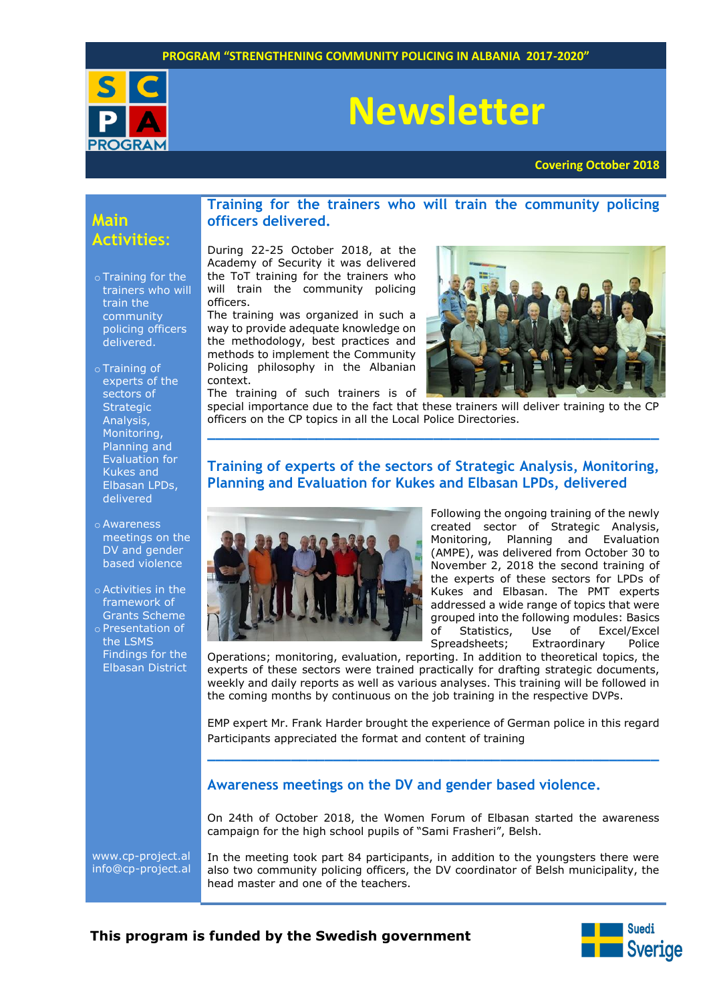

# **Newsletter**

**Covering October 2018**

# **Main Activities**:

- o Training for the trainers who will train the community policing officers delivered.
- o Training of experts of the sectors of **Strategic** Analysis, Monitoring, Planning and Evaluation for Kukes and Elbasan LPDs, delivered
- o Awareness meetings on the DV and gender based violence
- o Activities in the framework of Grants Scheme
- o Presentation of the LSMS Findings for the Elbasan District

### **Training for the trainers who will train the community policing officers delivered.**

During 22-25 October 2018, at the Academy of Security it was delivered the ToT training for the trainers who will train the community policing officers.

The training was organized in such a way to provide adequate knowledge on the methodology, best practices and methods to implement the Community Policing philosophy in the Albanian context. The training of such trainers is of



special importance due to the fact that these trainers will deliver training to the CP officers on the CP topics in all the Local Police Directories. **\_\_\_\_\_\_\_\_\_\_\_\_\_\_\_\_\_\_\_\_\_\_\_\_\_\_\_\_\_\_\_\_\_\_\_\_\_\_\_\_\_\_\_\_\_\_\_\_\_\_\_\_\_\_**

## **Training of experts of the sectors of Strategic Analysis, Monitoring, Planning and Evaluation for Kukes and Elbasan LPDs, delivered**



Following the ongoing training of the newly created sector of Strategic Analysis, Monitoring, Planning and Evaluation (AMPE), was delivered from October 30 to November 2, 2018 the second training of the experts of these sectors for LPDs of Kukes and Elbasan. The PMT experts addressed a wide range of topics that were grouped into the following modules: Basics of Statistics, Use of Excel/Excel Spreadsheets; Extraordinary Police

Operations; monitoring, evaluation, reporting. In addition to theoretical topics, the experts of these sectors were trained practically for drafting strategic documents, weekly and daily reports as well as various analyses. This training will be followed in the coming months by continuous on the job training in the respective DVPs.

EMP expert Mr. Frank Harder brought the experience of German police in this regard Participants appreciated the format and content of training **\_\_\_\_\_\_\_\_\_\_\_\_\_\_\_\_\_\_\_\_\_\_\_\_\_\_\_\_\_\_\_\_\_\_\_\_\_\_\_\_\_\_\_\_\_\_\_\_\_\_\_\_\_\_**

#### **Awareness meetings on the DV and gender based violence.**

On 24th of October 2018, the Women Forum of Elbasan started the awareness campaign for the high school pupils of "Sami Frasheri", Belsh.

[www.cp-project.al](http://www.cp-project.al/) [info@cp-project.al](mailto:info@cp-project.al) In the meeting took part 84 participants, in addition to the youngsters there were also two community policing officers, the DV coordinator of Belsh municipality, the head master and one of the teachers.